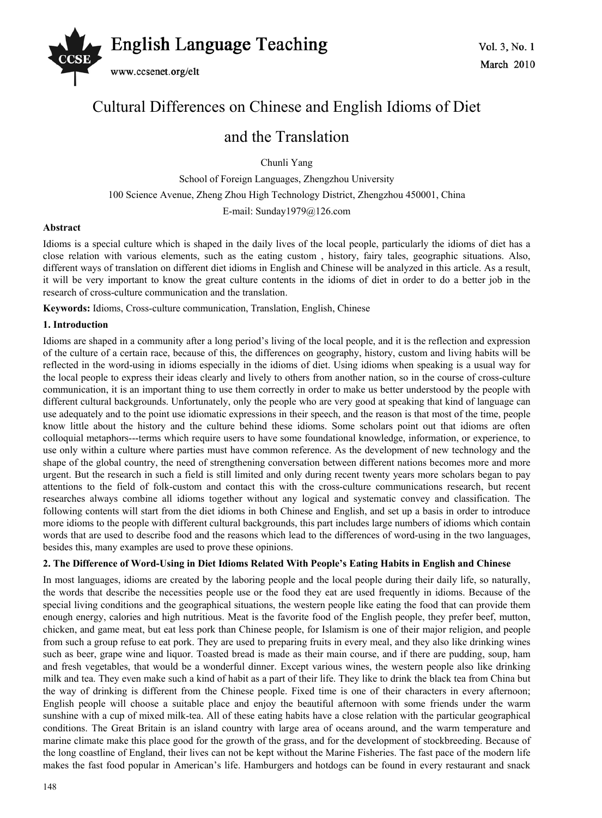

# Cultural Differences on Chinese and English Idioms of Diet

## and the Translation

Chunli Yang

School of Foreign Languages, Zhengzhou University 100 Science Avenue, Zheng Zhou High Technology District, Zhengzhou 450001, China E-mail: Sunday1979@126.com

## **Abstract**

Idioms is a special culture which is shaped in the daily lives of the local people, particularly the idioms of diet has a close relation with various elements, such as the eating custom , history, fairy tales, geographic situations. Also, different ways of translation on different diet idioms in English and Chinese will be analyzed in this article. As a result, it will be very important to know the great culture contents in the idioms of diet in order to do a better job in the research of cross-culture communication and the translation.

**Keywords:** Idioms, Cross-culture communication, Translation, English, Chinese

## **1. Introduction**

Idioms are shaped in a community after a long period's living of the local people, and it is the reflection and expression of the culture of a certain race, because of this, the differences on geography, history, custom and living habits will be reflected in the word-using in idioms especially in the idioms of diet. Using idioms when speaking is a usual way for the local people to express their ideas clearly and lively to others from another nation, so in the course of cross-culture communication, it is an important thing to use them correctly in order to make us better understood by the people with different cultural backgrounds. Unfortunately, only the people who are very good at speaking that kind of language can use adequately and to the point use idiomatic expressions in their speech, and the reason is that most of the time, people know little about the history and the culture behind these idioms. Some scholars point out that idioms are often colloquial metaphors---terms which require users to have some foundational knowledge, information, or experience, to use only within a culture where parties must have common reference. As the development of new technology and the shape of the global country, the need of strengthening conversation between different nations becomes more and more urgent. But the research in such a field is still limited and only during recent twenty years more scholars began to pay attentions to the field of folk-custom and contact this with the cross-culture communications research, but recent researches always combine all idioms together without any logical and systematic convey and classification. The following contents will start from the diet idioms in both Chinese and English, and set up a basis in order to introduce more idioms to the people with different cultural backgrounds, this part includes large numbers of idioms which contain words that are used to describe food and the reasons which lead to the differences of word-using in the two languages, besides this, many examples are used to prove these opinions.

## **2. The Difference of Word-Using in Diet Idioms Related With People's Eating Habits in English and Chinese**

In most languages, idioms are created by the laboring people and the local people during their daily life, so naturally, the words that describe the necessities people use or the food they eat are used frequently in idioms. Because of the special living conditions and the geographical situations, the western people like eating the food that can provide them enough energy, calories and high nutritious. Meat is the favorite food of the English people, they prefer beef, mutton, chicken, and game meat, but eat less pork than Chinese people, for Islamism is one of their major religion, and people from such a group refuse to eat pork. They are used to preparing fruits in every meal, and they also like drinking wines such as beer, grape wine and liquor. Toasted bread is made as their main course, and if there are pudding, soup, ham and fresh vegetables, that would be a wonderful dinner. Except various wines, the western people also like drinking milk and tea. They even make such a kind of habit as a part of their life. They like to drink the black tea from China but the way of drinking is different from the Chinese people. Fixed time is one of their characters in every afternoon; English people will choose a suitable place and enjoy the beautiful afternoon with some friends under the warm sunshine with a cup of mixed milk-tea. All of these eating habits have a close relation with the particular geographical conditions. The Great Britain is an island country with large area of oceans around, and the warm temperature and marine climate make this place good for the growth of the grass, and for the development of stockbreeding. Because of the long coastline of England, their lives can not be kept without the Marine Fisheries. The fast pace of the modern life makes the fast food popular in American's life. Hamburgers and hotdogs can be found in every restaurant and snack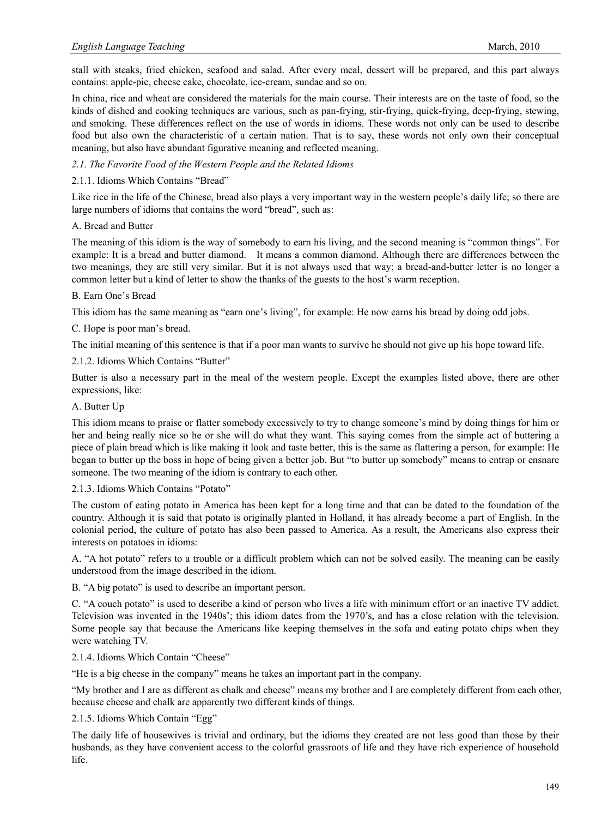stall with steaks, fried chicken, seafood and salad. After every meal, dessert will be prepared, and this part always contains: apple-pie, cheese cake, chocolate, ice-cream, sundae and so on.

In china, rice and wheat are considered the materials for the main course. Their interests are on the taste of food, so the kinds of dished and cooking techniques are various, such as pan-frying, stir-frying, quick-frying, deep-frying, stewing, and smoking. These differences reflect on the use of words in idioms. These words not only can be used to describe food but also own the characteristic of a certain nation. That is to say, these words not only own their conceptual meaning, but also have abundant figurative meaning and reflected meaning.

#### *2.1. The Favorite Food of the Western People and the Related Idioms*

#### 2.1.1. Idioms Which Contains "Bread"

Like rice in the life of the Chinese, bread also plays a very important way in the western people's daily life; so there are large numbers of idioms that contains the word "bread", such as:

#### A. Bread and Butter

The meaning of this idiom is the way of somebody to earn his living, and the second meaning is "common things". For example: It is a bread and butter diamond. It means a common diamond. Although there are differences between the two meanings, they are still very similar. But it is not always used that way; a bread-and-butter letter is no longer a common letter but a kind of letter to show the thanks of the guests to the host's warm reception.

#### B. Earn One's Bread

This idiom has the same meaning as "earn one's living", for example: He now earns his bread by doing odd jobs.

C. Hope is poor man's bread.

The initial meaning of this sentence is that if a poor man wants to survive he should not give up his hope toward life.

2.1.2. Idioms Which Contains "Butter"

Butter is also a necessary part in the meal of the western people. Except the examples listed above, there are other expressions, like:

#### A. Butter Up

This idiom means to praise or flatter somebody excessively to try to change someone's mind by doing things for him or her and being really nice so he or she will do what they want. This saying comes from the simple act of buttering a piece of plain bread which is like making it look and taste better, this is the same as flattering a person, for example: He began to butter up the boss in hope of being given a better job. But "to butter up somebody" means to entrap or ensnare someone. The two meaning of the idiom is contrary to each other.

2.1.3. Idioms Which Contains "Potato"

The custom of eating potato in America has been kept for a long time and that can be dated to the foundation of the country. Although it is said that potato is originally planted in Holland, it has already become a part of English. In the colonial period, the culture of potato has also been passed to America. As a result, the Americans also express their interests on potatoes in idioms:

A. "A hot potato" refers to a trouble or a difficult problem which can not be solved easily. The meaning can be easily understood from the image described in the idiom.

B. "A big potato" is used to describe an important person.

C. "A couch potato" is used to describe a kind of person who lives a life with minimum effort or an inactive TV addict. Television was invented in the 1940s'; this idiom dates from the 1970's, and has a close relation with the television. Some people say that because the Americans like keeping themselves in the sofa and eating potato chips when they were watching TV.

2.1.4. Idioms Which Contain "Cheese"

"He is a big cheese in the company" means he takes an important part in the company.

"My brother and I are as different as chalk and cheese" means my brother and I are completely different from each other, because cheese and chalk are apparently two different kinds of things.

2.1.5. Idioms Which Contain "Egg"

The daily life of housewives is trivial and ordinary, but the idioms they created are not less good than those by their husbands, as they have convenient access to the colorful grassroots of life and they have rich experience of household life.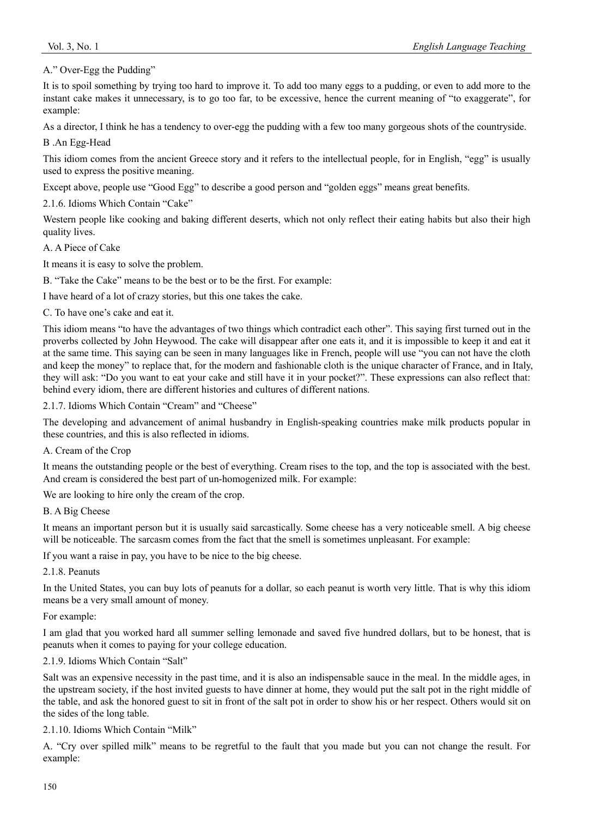## A." Over-Egg the Pudding"

It is to spoil something by trying too hard to improve it. To add too many eggs to a pudding, or even to add more to the instant cake makes it unnecessary, is to go too far, to be excessive, hence the current meaning of "to exaggerate", for example:

As a director, I think he has a tendency to over-egg the pudding with a few too many gorgeous shots of the countryside.

## B .An Egg-Head

This idiom comes from the ancient Greece story and it refers to the intellectual people, for in English, "egg" is usually used to express the positive meaning.

Except above, people use "Good Egg" to describe a good person and "golden eggs" means great benefits.

2.1.6. Idioms Which Contain "Cake"

Western people like cooking and baking different deserts, which not only reflect their eating habits but also their high quality lives.

## A. A Piece of Cake

It means it is easy to solve the problem.

B. "Take the Cake" means to be the best or to be the first. For example:

I have heard of a lot of crazy stories, but this one takes the cake.

C. To have one's cake and eat it.

This idiom means "to have the advantages of two things which contradict each other". This saying first turned out in the proverbs collected by John Heywood. The cake will disappear after one eats it, and it is impossible to keep it and eat it at the same time. This saying can be seen in many languages like in French, people will use "you can not have the cloth and keep the money" to replace that, for the modern and fashionable cloth is the unique character of France, and in Italy, they will ask: "Do you want to eat your cake and still have it in your pocket?". These expressions can also reflect that: behind every idiom, there are different histories and cultures of different nations.

2.1.7. Idioms Which Contain "Cream" and "Cheese"

The developing and advancement of animal husbandry in English-speaking countries make milk products popular in these countries, and this is also reflected in idioms.

A. Cream of the Crop

It means the outstanding people or the best of everything. Cream rises to the top, and the top is associated with the best. And cream is considered the best part of un-homogenized milk. For example:

We are looking to hire only the cream of the crop.

## B. A Big Cheese

It means an important person but it is usually said sarcastically. Some cheese has a very noticeable smell. A big cheese will be noticeable. The sarcasm comes from the fact that the smell is sometimes unpleasant. For example:

If you want a raise in pay, you have to be nice to the big cheese.

2.1.8. Peanuts

In the United States, you can buy lots of peanuts for a dollar, so each peanut is worth very little. That is why this idiom means be a very small amount of money.

For example:

I am glad that you worked hard all summer selling lemonade and saved five hundred dollars, but to be honest, that is peanuts when it comes to paying for your college education.

2.1.9. Idioms Which Contain "Salt"

Salt was an expensive necessity in the past time, and it is also an indispensable sauce in the meal. In the middle ages, in the upstream society, if the host invited guests to have dinner at home, they would put the salt pot in the right middle of the table, and ask the honored guest to sit in front of the salt pot in order to show his or her respect. Others would sit on the sides of the long table.

## 2.1.10. Idioms Which Contain "Milk"

A. "Cry over spilled milk" means to be regretful to the fault that you made but you can not change the result. For example: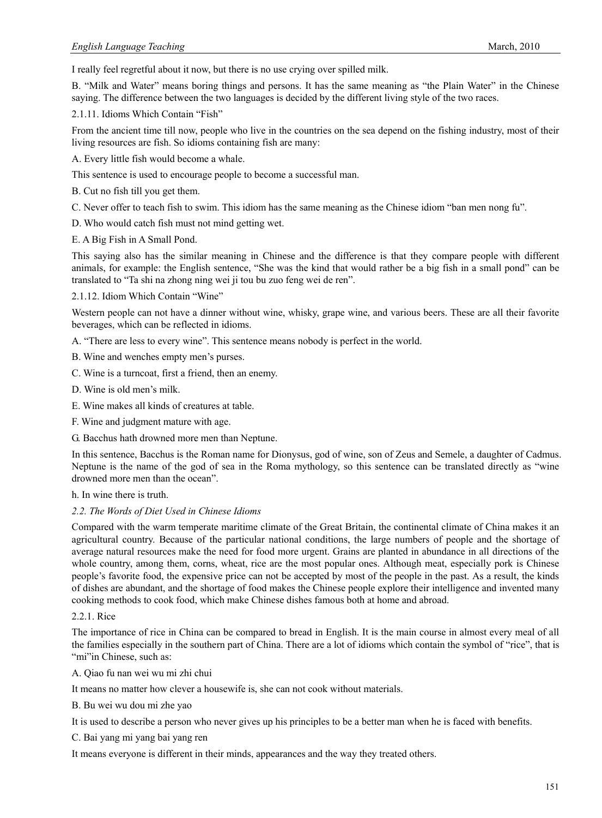I really feel regretful about it now, but there is no use crying over spilled milk.

B. "Milk and Water" means boring things and persons. It has the same meaning as "the Plain Water" in the Chinese saying. The difference between the two languages is decided by the different living style of the two races.

2.1.11. Idioms Which Contain "Fish"

From the ancient time till now, people who live in the countries on the sea depend on the fishing industry, most of their living resources are fish. So idioms containing fish are many:

A. Every little fish would become a whale.

This sentence is used to encourage people to become a successful man.

- B. Cut no fish till you get them.
- C. Never offer to teach fish to swim. This idiom has the same meaning as the Chinese idiom "ban men nong fu".
- D. Who would catch fish must not mind getting wet.
- E. A Big Fish in A Small Pond.

This saying also has the similar meaning in Chinese and the difference is that they compare people with different animals, for example: the English sentence, "She was the kind that would rather be a big fish in a small pond" can be translated to "Ta shi na zhong ning wei ji tou bu zuo feng wei de ren".

2.1.12. Idiom Which Contain "Wine"

Western people can not have a dinner without wine, whisky, grape wine, and various beers. These are all their favorite beverages, which can be reflected in idioms.

- A. "There are less to every wine". This sentence means nobody is perfect in the world.
- B. Wine and wenches empty men's purses.
- C. Wine is a turncoat, first a friend, then an enemy.
- D. Wine is old men's milk.
- E. Wine makes all kinds of creatures at table.
- F. Wine and judgment mature with age.
- G. Bacchus hath drowned more men than Neptune.

In this sentence, Bacchus is the Roman name for Dionysus, god of wine, son of Zeus and Semele, a daughter of Cadmus. Neptune is the name of the god of sea in the Roma mythology, so this sentence can be translated directly as "wine drowned more men than the ocean".

#### h. In wine there is truth.

#### *2.2. The Words of Diet Used in Chinese Idioms*

Compared with the warm temperate maritime climate of the Great Britain, the continental climate of China makes it an agricultural country. Because of the particular national conditions, the large numbers of people and the shortage of average natural resources make the need for food more urgent. Grains are planted in abundance in all directions of the whole country, among them, corns, wheat, rice are the most popular ones. Although meat, especially pork is Chinese people's favorite food, the expensive price can not be accepted by most of the people in the past. As a result, the kinds of dishes are abundant, and the shortage of food makes the Chinese people explore their intelligence and invented many cooking methods to cook food, which make Chinese dishes famous both at home and abroad.

#### 2.2.1. Rice

The importance of rice in China can be compared to bread in English. It is the main course in almost every meal of all the families especially in the southern part of China. There are a lot of idioms which contain the symbol of "rice", that is "mi"in Chinese, such as:

A. Qiao fu nan wei wu mi zhi chui

It means no matter how clever a housewife is, she can not cook without materials.

B. Bu wei wu dou mi zhe yao

It is used to describe a person who never gives up his principles to be a better man when he is faced with benefits.

C. Bai yang mi yang bai yang ren

It means everyone is different in their minds, appearances and the way they treated others.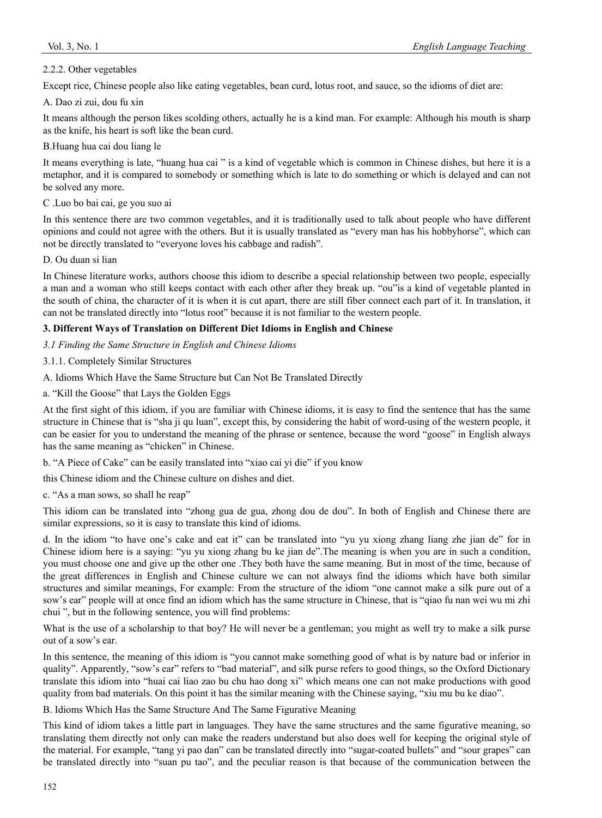## 2.2.2. Other vegetables

Except rice, Chinese people also like eating vegetables, bean curd, lotus root, and sauce, so the idioms of diet are:

A. Dao zi zui, dou fu xin

It means although the person likes scolding others, actually he is a kind man. For example: Although his mouth is sharp as the knife, his heart is soft like the bean curd.

#### B.Huang hua cai dou liang le

It means everything is late, "huang hua cai " is a kind of vegetable which is common in Chinese dishes, but here it is a metaphor, and it is compared to somebody or something which is late to do something or which is delayed and can not be solved any more.

C .Luo bo bai cai, ge you suo ai

In this sentence there are two common vegetables, and it is traditionally used to talk about people who have different opinions and could not agree with the others. But it is usually translated as "every man has his hobbyhorse", which can not be directly translated to "everyone loves his cabbage and radish".

D. Ou duan si lian

In Chinese literature works, authors choose this idiom to describe a special relationship between two people, especially a man and a woman who still keeps contact with each other after they break up. "ou"is a kind of vegetable planted in the south of china, the character of it is when it is cut apart, there are still fiber connect each part of it. In translation, it can not be translated directly into "lotus root" because it is not familiar to the western people.

## **3. Different Ways of Translation on Different Diet Idioms in English and Chinese**

- *3.1 Finding the Same Structure in English and Chinese Idioms*
- 3.1.1. Completely Similar Structures
- A. Idioms Which Have the Same Structure but Can Not Be Translated Directly
- a. "Kill the Goose" that Lays the Golden Eggs

At the first sight of this idiom, if you are familiar with Chinese idioms, it is easy to find the sentence that has the same structure in Chinese that is "sha ji qu luan", except this, by considering the habit of word-using of the western people, it can be easier for you to understand the meaning of the phrase or sentence, because the word "goose" in English always has the same meaning as "chicken" in Chinese.

b. "A Piece of Cake" can be easily translated into "xiao cai yi die" if you know

this Chinese idiom and the Chinese culture on dishes and diet.

c. "As a man sows, so shall he reap"

This idiom can be translated into "zhong gua de gua, zhong dou de dou". In both of English and Chinese there are similar expressions, so it is easy to translate this kind of idioms.

d. In the idiom "to have one's cake and eat it" can be translated into "yu yu xiong zhang liang zhe jian de" for in Chinese idiom here is a saying: "yu yu xiong zhang bu ke jian de".The meaning is when you are in such a condition, you must choose one and give up the other one .They both have the same meaning. But in most of the time, because of the great differences in English and Chinese culture we can not always find the idioms which have both similar structures and similar meanings, For example: From the structure of the idiom "one cannot make a silk pure out of a sow's ear" people will at once find an idiom which has the same structure in Chinese, that is "qiao fu nan wei wu mi zhi chui ", but in the following sentence, you will find problems:

What is the use of a scholarship to that boy? He will never be a gentleman; you might as well try to make a silk purse out of a sow's ear.

In this sentence, the meaning of this idiom is "you cannot make something good of what is by nature bad or inferior in quality". Apparently, "sow's ear" refers to "bad material", and silk purse refers to good things, so the Oxford Dictionary translate this idiom into "huai cai liao zao bu chu hao dong xi" which means one can not make productions with good quality from bad materials. On this point it has the similar meaning with the Chinese saying, "xiu mu bu ke diao".

B. Idioms Which Has the Same Structure And The Same Figurative Meaning

This kind of idiom takes a little part in languages. They have the same structures and the same figurative meaning, so translating them directly not only can make the readers understand but also does well for keeping the original style of the material. For example, "tang yi pao dan" can be translated directly into "sugar-coated bullets" and "sour grapes" can be translated directly into "suan pu tao", and the peculiar reason is that because of the communication between the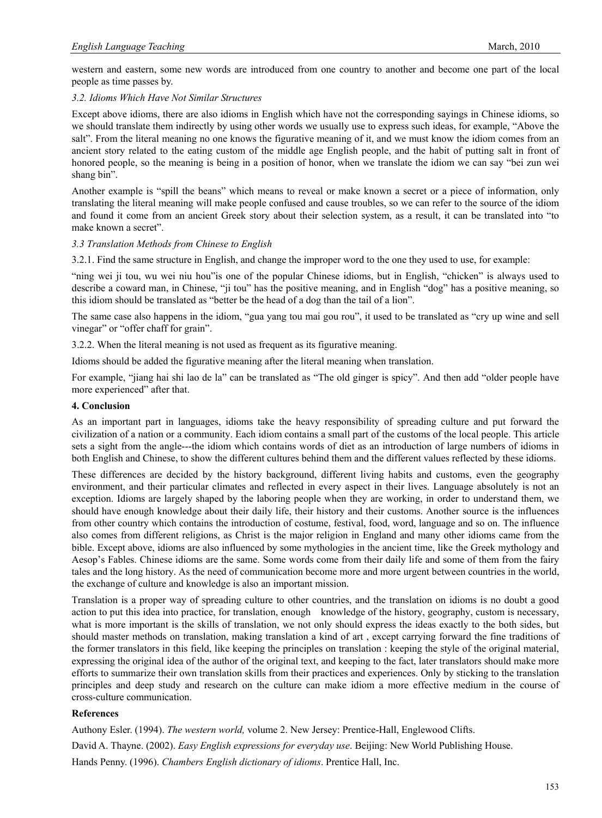western and eastern, some new words are introduced from one country to another and become one part of the local people as time passes by.

#### *3.2. Idioms Which Have Not Similar Structures*

Except above idioms, there are also idioms in English which have not the corresponding sayings in Chinese idioms, so we should translate them indirectly by using other words we usually use to express such ideas, for example, "Above the salt". From the literal meaning no one knows the figurative meaning of it, and we must know the idiom comes from an ancient story related to the eating custom of the middle age English people, and the habit of putting salt in front of honored people, so the meaning is being in a position of honor, when we translate the idiom we can say "bei zun wei shang bin".

Another example is "spill the beans" which means to reveal or make known a secret or a piece of information, only translating the literal meaning will make people confused and cause troubles, so we can refer to the source of the idiom and found it come from an ancient Greek story about their selection system, as a result, it can be translated into "to make known a secret".

#### *3.3 Translation Methods from Chinese to English*

3.2.1. Find the same structure in English, and change the improper word to the one they used to use, for example:

"ning wei ji tou, wu wei niu hou"is one of the popular Chinese idioms, but in English, "chicken" is always used to describe a coward man, in Chinese, "ji tou" has the positive meaning, and in English "dog" has a positive meaning, so this idiom should be translated as "better be the head of a dog than the tail of a lion".

The same case also happens in the idiom, "gua yang tou mai gou rou", it used to be translated as "cry up wine and sell vinegar" or "offer chaff for grain".

3.2.2. When the literal meaning is not used as frequent as its figurative meaning.

Idioms should be added the figurative meaning after the literal meaning when translation.

For example, "jiang hai shi lao de la" can be translated as "The old ginger is spicy". And then add "older people have more experienced" after that.

#### **4. Conclusion**

As an important part in languages, idioms take the heavy responsibility of spreading culture and put forward the civilization of a nation or a community. Each idiom contains a small part of the customs of the local people. This article sets a sight from the angle---the idiom which contains words of diet as an introduction of large numbers of idioms in both English and Chinese, to show the different cultures behind them and the different values reflected by these idioms.

These differences are decided by the history background, different living habits and customs, even the geography environment, and their particular climates and reflected in every aspect in their lives. Language absolutely is not an exception. Idioms are largely shaped by the laboring people when they are working, in order to understand them, we should have enough knowledge about their daily life, their history and their customs. Another source is the influences from other country which contains the introduction of costume, festival, food, word, language and so on. The influence also comes from different religions, as Christ is the major religion in England and many other idioms came from the bible. Except above, idioms are also influenced by some mythologies in the ancient time, like the Greek mythology and Aesop's Fables. Chinese idioms are the same. Some words come from their daily life and some of them from the fairy tales and the long history. As the need of communication become more and more urgent between countries in the world, the exchange of culture and knowledge is also an important mission.

Translation is a proper way of spreading culture to other countries, and the translation on idioms is no doubt a good action to put this idea into practice, for translation, enough knowledge of the history, geography, custom is necessary, what is more important is the skills of translation, we not only should express the ideas exactly to the both sides, but should master methods on translation, making translation a kind of art , except carrying forward the fine traditions of the former translators in this field, like keeping the principles on translation : keeping the style of the original material, expressing the original idea of the author of the original text, and keeping to the fact, later translators should make more efforts to summarize their own translation skills from their practices and experiences. Only by sticking to the translation principles and deep study and research on the culture can make idiom a more effective medium in the course of cross-culture communication.

## **References**

Authony Esler. (1994). *The western world,* volume 2. New Jersey: Prentice-Hall, Englewood Clifts. David A. Thayne. (2002). *Easy English expressions for everyday use*. Beijing: New World Publishing House. Hands Penny. (1996). *Chambers English dictionary of idioms*. Prentice Hall, Inc.